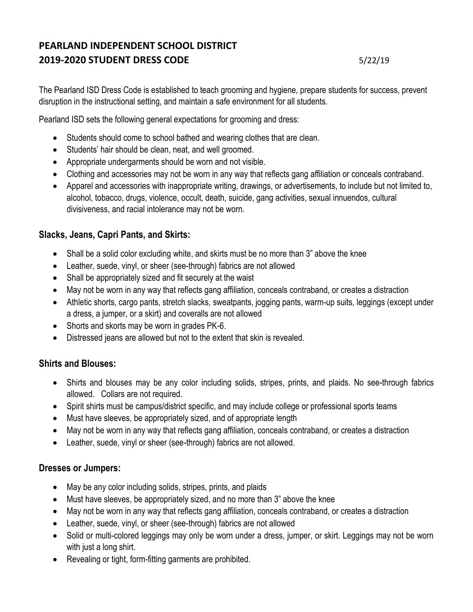# **PEARLAND INDEPENDENT SCHOOL DISTRICT 2019-2020 STUDENT DRESS CODE** 5/22/19

The Pearland ISD Dress Code is established to teach grooming and hygiene, prepare students for success, prevent disruption in the instructional setting, and maintain a safe environment for all students.

Pearland ISD sets the following general expectations for grooming and dress:

- Students should come to school bathed and wearing clothes that are clean.
- Students' hair should be clean, neat, and well groomed.
- Appropriate undergarments should be worn and not visible.
- Clothing and accessories may not be worn in any way that reflects gang affiliation or conceals contraband.
- Apparel and accessories with inappropriate writing, drawings, or advertisements, to include but not limited to, alcohol, tobacco, drugs, violence, occult, death, suicide, gang activities, sexual innuendos, cultural divisiveness, and racial intolerance may not be worn.

# **Slacks, Jeans, Capri Pants, and Skirts:**

- Shall be a solid color excluding white, and skirts must be no more than 3" above the knee
- Leather, suede, vinyl, or sheer (see-through) fabrics are not allowed
- Shall be appropriately sized and fit securely at the waist
- May not be worn in any way that reflects gang affiliation, conceals contraband, or creates a distraction
- Athletic shorts, cargo pants, stretch slacks, sweatpants, jogging pants, warm-up suits, leggings (except under a dress, a jumper, or a skirt) and coveralls are not allowed
- Shorts and skorts may be worn in grades PK-6.
- Distressed jeans are allowed but not to the extent that skin is revealed.

### **Shirts and Blouses:**

- Shirts and blouses may be any color including solids, stripes, prints, and plaids. No see-through fabrics allowed. Collars are not required.
- Spirit shirts must be campus/district specific, and may include college or professional sports teams
- Must have sleeves, be appropriately sized, and of appropriate length
- May not be worn in any way that reflects gang affiliation, conceals contraband, or creates a distraction
- Leather, suede, vinyl or sheer (see-through) fabrics are not allowed.

### **Dresses or Jumpers:**

- May be any color including solids, stripes, prints, and plaids
- Must have sleeves, be appropriately sized, and no more than 3" above the knee
- May not be worn in any way that reflects gang affiliation, conceals contraband, or creates a distraction
- Leather, suede, vinyl, or sheer (see-through) fabrics are not allowed
- Solid or multi-colored leggings may only be worn under a dress, jumper, or skirt. Leggings may not be worn with just a long shirt.
- Revealing or tight, form-fitting garments are prohibited.